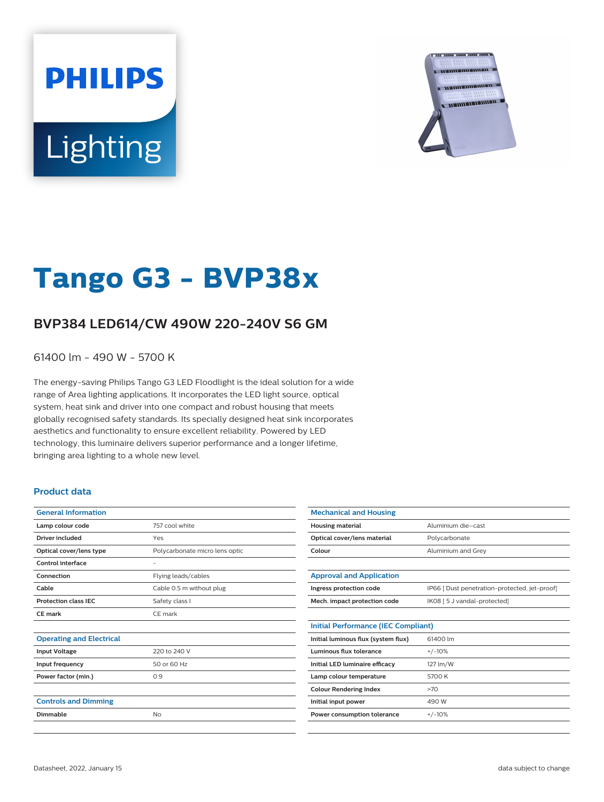# **PHILIPS** Lighting



## **Tango G3 - BVP38x**

### **BVP384 LED614/CW 490W 220-240V S6 GM**

61400 lm - 490 W - 5700 K

The energy-saving Philips Tango G3 LED Floodlight is the ideal solution for a wide range of Area lighting applications. It incorporates the LED light source, optical system, heat sink and driver into one compact and robust housing that meets globally recognised safety standards. Its specially designed heat sink incorporates aesthetics and functionality to ensure excellent reliability. Powered by LED technology, this luminaire delivers superior performance and a longer lifetime, bringing area lighting to a whole new level.

#### **Product data**

| <b>General Information</b>      |                                |
|---------------------------------|--------------------------------|
| Lamp colour code                | 757 cool white                 |
| Driver included                 | Yes                            |
| Optical cover/lens type         | Polycarbonate micro lens optic |
| Control interface               | -                              |
| Connection                      | Flying leads/cables            |
| Cable                           | Cable 0.5 m without plug       |
| <b>Protection class IEC</b>     | Safety class I                 |
| CE mark                         | CE mark                        |
|                                 |                                |
| <b>Operating and Electrical</b> |                                |
| <b>Input Voltage</b>            | 220 to 240 V                   |
| Input frequency                 | 50 or 60 Hz                    |
| Power factor (min.)             | 0.9                            |
|                                 |                                |
| <b>Controls and Dimming</b>     |                                |
| Dimmable                        | No                             |
|                                 |                                |

| <b>Mechanical and Housing</b>              |                                               |
|--------------------------------------------|-----------------------------------------------|
| <b>Housing material</b>                    | Aluminium die-cast                            |
| Optical cover/lens material                | Polycarbonate                                 |
| Colour                                     | Aluminium and Grey                            |
|                                            |                                               |
| <b>Approval and Application</b>            |                                               |
| Ingress protection code                    | IP66 [ Dust penetration-protected, jet-proof] |
| Mech. impact protection code               | IK08 [ 5 J vandal-protected]                  |
|                                            |                                               |
| <b>Initial Performance (IEC Compliant)</b> |                                               |
| Initial luminous flux (system flux)        | 61400 lm                                      |
| Luminous flux tolerance                    | $+/-10%$                                      |
| Initial LED luminaire efficacy             | 127 lm/W                                      |
| Lamp colour temperature                    | 5700 K                                        |
| <b>Colour Rendering Index</b>              | >70                                           |
| Initial input power                        | 490 W                                         |
| Power consumption tolerance                | $+/-10%$                                      |
|                                            |                                               |
|                                            |                                               |